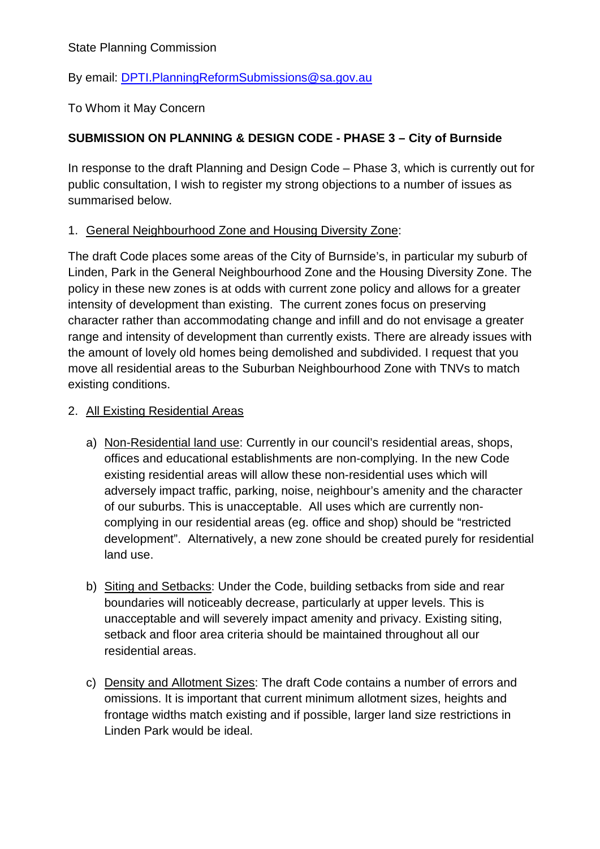State Planning Commission

By email: [DPTI.PlanningReformSubmissions@sa.gov.au](mailto:DPTI.PlanningReformSubmissions@sa.gov.au)

To Whom it May Concern

# **SUBMISSION ON PLANNING & DESIGN CODE - PHASE 3 – City of Burnside**

In response to the draft Planning and Design Code – Phase 3, which is currently out for public consultation, I wish to register my strong objections to a number of issues as summarised below.

#### 1. General Neighbourhood Zone and Housing Diversity Zone:

The draft Code places some areas of the City of Burnside's, in particular my suburb of Linden, Park in the General Neighbourhood Zone and the Housing Diversity Zone. The policy in these new zones is at odds with current zone policy and allows for a greater intensity of development than existing. The current zones focus on preserving character rather than accommodating change and infill and do not envisage a greater range and intensity of development than currently exists. There are already issues with the amount of lovely old homes being demolished and subdivided. I request that you move all residential areas to the Suburban Neighbourhood Zone with TNVs to match existing conditions.

#### 2. All Existing Residential Areas

- a) Non-Residential land use: Currently in our council's residential areas, shops, offices and educational establishments are non-complying. In the new Code existing residential areas will allow these non-residential uses which will adversely impact traffic, parking, noise, neighbour's amenity and the character of our suburbs. This is unacceptable. All uses which are currently noncomplying in our residential areas (eg. office and shop) should be "restricted development". Alternatively, a new zone should be created purely for residential land use.
- b) Siting and Setbacks: Under the Code, building setbacks from side and rear boundaries will noticeably decrease, particularly at upper levels. This is unacceptable and will severely impact amenity and privacy. Existing siting, setback and floor area criteria should be maintained throughout all our residential areas.
- c) Density and Allotment Sizes: The draft Code contains a number of errors and omissions. It is important that current minimum allotment sizes, heights and frontage widths match existing and if possible, larger land size restrictions in Linden Park would be ideal.